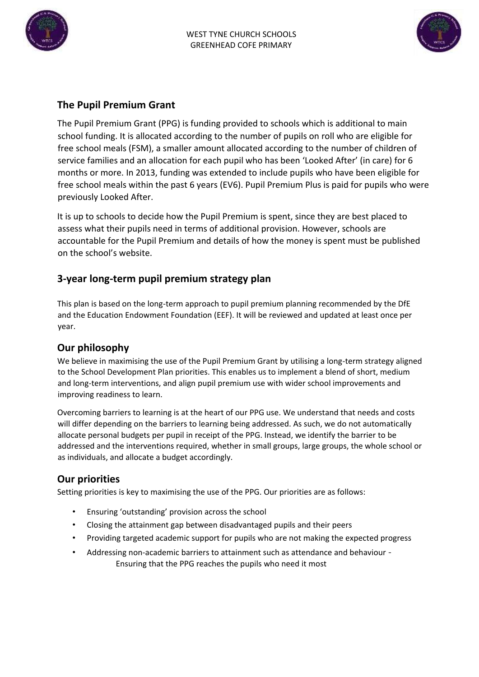



# **The Pupil Premium Grant**

The Pupil Premium Grant (PPG) is funding provided to schools which is additional to main school funding. It is allocated according to the number of pupils on roll who are eligible for free school meals (FSM), a smaller amount allocated according to the number of children of service families and an allocation for each pupil who has been 'Looked After' (in care) for 6 months or more. In 2013, funding was extended to include pupils who have been eligible for free school meals within the past 6 years (EV6). Pupil Premium Plus is paid for pupils who were previously Looked After.

It is up to schools to decide how the Pupil Premium is spent, since they are best placed to assess what their pupils need in terms of additional provision. However, schools are accountable for the Pupil Premium and details of how the money is spent must be published on the school's website.

# **3-year long-term pupil premium strategy plan**

This plan is based on the long-term approach to pupil premium planning recommended by the DfE and the Education Endowment Foundation (EEF). It will be reviewed and updated at least once per year.

## **Our philosophy**

We believe in maximising the use of the Pupil Premium Grant by utilising a long-term strategy aligned to the School Development Plan priorities. This enables us to implement a blend of short, medium and long-term interventions, and align pupil premium use with wider school improvements and improving readiness to learn.

Overcoming barriers to learning is at the heart of our PPG use. We understand that needs and costs will differ depending on the barriers to learning being addressed. As such, we do not automatically allocate personal budgets per pupil in receipt of the PPG. Instead, we identify the barrier to be addressed and the interventions required, whether in small groups, large groups, the whole school or as individuals, and allocate a budget accordingly.

## **Our priorities**

Setting priorities is key to maximising the use of the PPG. Our priorities are as follows:

- Ensuring 'outstanding' provision across the school
- Closing the attainment gap between disadvantaged pupils and their peers
- Providing targeted academic support for pupils who are not making the expected progress
- Addressing non-academic barriers to attainment such as attendance and behaviour Ensuring that the PPG reaches the pupils who need it most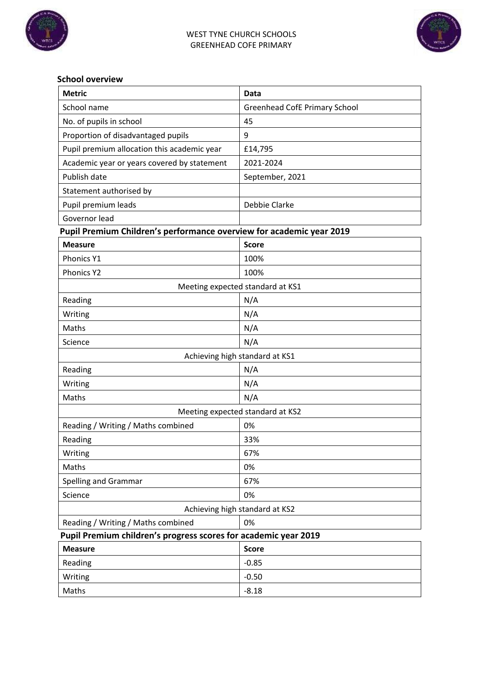



#### **School overview**

| <b>Metric</b>                                                        | Data                                 |  |  |  |  |  |
|----------------------------------------------------------------------|--------------------------------------|--|--|--|--|--|
| School name                                                          | <b>Greenhead CofE Primary School</b> |  |  |  |  |  |
| No. of pupils in school                                              | 45                                   |  |  |  |  |  |
| Proportion of disadvantaged pupils                                   | 9                                    |  |  |  |  |  |
| Pupil premium allocation this academic year                          | £14,795                              |  |  |  |  |  |
| Academic year or years covered by statement                          | 2021-2024                            |  |  |  |  |  |
| Publish date                                                         | September, 2021                      |  |  |  |  |  |
| Statement authorised by                                              |                                      |  |  |  |  |  |
| Pupil premium leads                                                  | Debbie Clarke                        |  |  |  |  |  |
| Governor lead                                                        |                                      |  |  |  |  |  |
| Pupil Premium Children's performance overview for academic year 2019 |                                      |  |  |  |  |  |
| <b>Measure</b>                                                       | <b>Score</b>                         |  |  |  |  |  |
| Phonics Y1                                                           | 100%                                 |  |  |  |  |  |
| <b>Phonics Y2</b>                                                    | 100%                                 |  |  |  |  |  |
|                                                                      | Meeting expected standard at KS1     |  |  |  |  |  |
| Reading                                                              | N/A                                  |  |  |  |  |  |
| Writing                                                              | N/A                                  |  |  |  |  |  |
| Maths                                                                | N/A                                  |  |  |  |  |  |
| Science                                                              | N/A                                  |  |  |  |  |  |
|                                                                      | Achieving high standard at KS1       |  |  |  |  |  |
| Reading                                                              | N/A                                  |  |  |  |  |  |
| Writing                                                              | N/A                                  |  |  |  |  |  |
| Maths                                                                | N/A                                  |  |  |  |  |  |
|                                                                      | Meeting expected standard at KS2     |  |  |  |  |  |
| Reading / Writing / Maths combined                                   | 0%                                   |  |  |  |  |  |
| Reading                                                              | 33%                                  |  |  |  |  |  |
| Writing                                                              | 67%                                  |  |  |  |  |  |
| Maths                                                                | 0%                                   |  |  |  |  |  |
| Spelling and Grammar                                                 | 67%                                  |  |  |  |  |  |
| Science                                                              | 0%                                   |  |  |  |  |  |
| Achieving high standard at KS2                                       |                                      |  |  |  |  |  |
| Reading / Writing / Maths combined                                   | 0%                                   |  |  |  |  |  |
| Pupil Premium children's progress scores for academic year 2019      |                                      |  |  |  |  |  |
| <b>Measure</b>                                                       | <b>Score</b>                         |  |  |  |  |  |
| Reading                                                              | $-0.85$                              |  |  |  |  |  |
| Writing                                                              | $-0.50$                              |  |  |  |  |  |
| Maths                                                                | $-8.18$                              |  |  |  |  |  |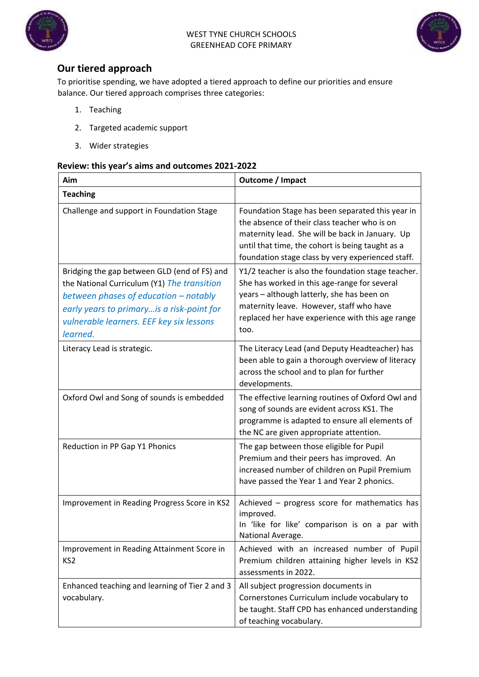



# **Our tiered approach**

To prioritise spending, we have adopted a tiered approach to define our priorities and ensure balance. Our tiered approach comprises three categories:

- 1. Teaching
- 2. Targeted academic support
- 3. Wider strategies

#### **Review: this year's aims and outcomes 2021-2022**

| Aim                                                                                                                                                                                                                                        | Outcome / Impact                                                                                                                                                                                                                                             |
|--------------------------------------------------------------------------------------------------------------------------------------------------------------------------------------------------------------------------------------------|--------------------------------------------------------------------------------------------------------------------------------------------------------------------------------------------------------------------------------------------------------------|
| <b>Teaching</b>                                                                                                                                                                                                                            |                                                                                                                                                                                                                                                              |
| Challenge and support in Foundation Stage                                                                                                                                                                                                  | Foundation Stage has been separated this year in<br>the absence of their class teacher who is on<br>maternity lead. She will be back in January. Up<br>until that time, the cohort is being taught as a<br>foundation stage class by very experienced staff. |
| Bridging the gap between GLD (end of FS) and<br>the National Curriculum (Y1) The transition<br>between phases of education - notably<br>early years to primary is a risk-point for<br>vulnerable learners. EEF key six lessons<br>learned. | Y1/2 teacher is also the foundation stage teacher.<br>She has worked in this age-range for several<br>years - although latterly, she has been on<br>maternity leave. However, staff who have<br>replaced her have experience with this age range<br>too.     |
| Literacy Lead is strategic.                                                                                                                                                                                                                | The Literacy Lead (and Deputy Headteacher) has<br>been able to gain a thorough overview of literacy<br>across the school and to plan for further<br>developments.                                                                                            |
| Oxford Owl and Song of sounds is embedded                                                                                                                                                                                                  | The effective learning routines of Oxford Owl and<br>song of sounds are evident across KS1. The<br>programme is adapted to ensure all elements of<br>the NC are given appropriate attention.                                                                 |
| Reduction in PP Gap Y1 Phonics                                                                                                                                                                                                             | The gap between those eligible for Pupil<br>Premium and their peers has improved. An<br>increased number of children on Pupil Premium<br>have passed the Year 1 and Year 2 phonics.                                                                          |
| Improvement in Reading Progress Score in KS2                                                                                                                                                                                               | Achieved - progress score for mathematics has<br>improved.<br>In 'like for like' comparison is on a par with<br>National Average.                                                                                                                            |
| Improvement in Reading Attainment Score in<br>KS <sub>2</sub>                                                                                                                                                                              | Achieved with an increased number of Pupil<br>Premium children attaining higher levels in KS2<br>assessments in 2022.                                                                                                                                        |
| Enhanced teaching and learning of Tier 2 and 3<br>vocabulary.                                                                                                                                                                              | All subject progression documents in<br>Cornerstones Curriculum include vocabulary to<br>be taught. Staff CPD has enhanced understanding<br>of teaching vocabulary.                                                                                          |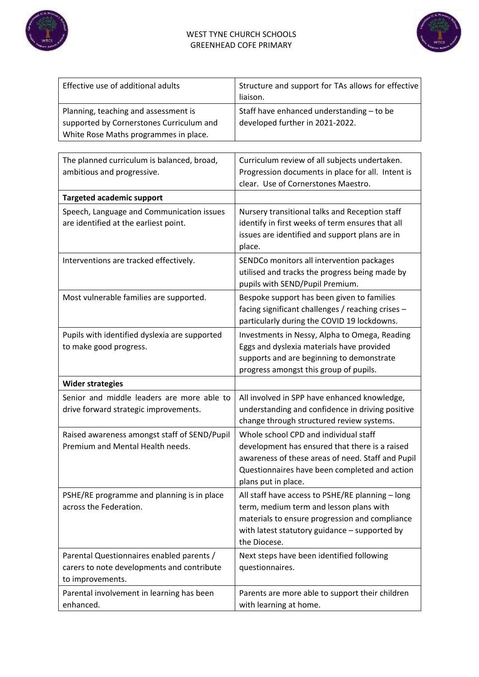



| Effective use of additional adults                                                                                        | Structure and support for TAs allows for effective<br>liaison.                                                                                                                                                       |
|---------------------------------------------------------------------------------------------------------------------------|----------------------------------------------------------------------------------------------------------------------------------------------------------------------------------------------------------------------|
| Planning, teaching and assessment is<br>supported by Cornerstones Curriculum and<br>White Rose Maths programmes in place. | Staff have enhanced understanding - to be<br>developed further in 2021-2022.                                                                                                                                         |
| The planned curriculum is balanced, broad,<br>ambitious and progressive.                                                  | Curriculum review of all subjects undertaken.<br>Progression documents in place for all. Intent is<br>clear. Use of Cornerstones Maestro.                                                                            |
| <b>Targeted academic support</b>                                                                                          |                                                                                                                                                                                                                      |
| Speech, Language and Communication issues<br>are identified at the earliest point.                                        | Nursery transitional talks and Reception staff<br>identify in first weeks of term ensures that all<br>issues are identified and support plans are in<br>place.                                                       |
| Interventions are tracked effectively.                                                                                    | SENDCo monitors all intervention packages<br>utilised and tracks the progress being made by<br>pupils with SEND/Pupil Premium.                                                                                       |
| Most vulnerable families are supported.                                                                                   | Bespoke support has been given to families<br>facing significant challenges / reaching crises -<br>particularly during the COVID 19 lockdowns.                                                                       |
| Pupils with identified dyslexia are supported<br>to make good progress.                                                   | Investments in Nessy, Alpha to Omega, Reading<br>Eggs and dyslexia materials have provided<br>supports and are beginning to demonstrate<br>progress amongst this group of pupils.                                    |
| <b>Wider strategies</b>                                                                                                   |                                                                                                                                                                                                                      |
| Senior and middle leaders are more able to<br>drive forward strategic improvements.                                       | All involved in SPP have enhanced knowledge,<br>understanding and confidence in driving positive<br>change through structured review systems.                                                                        |
| Raised awareness amongst staff of SEND/Pupil<br>Premium and Mental Health needs.                                          | Whole school CPD and individual staff<br>development has ensured that there is a raised<br>awareness of these areas of need. Staff and Pupil<br>Questionnaires have been completed and action<br>plans put in place. |
| PSHE/RE programme and planning is in place<br>across the Federation.                                                      | All staff have access to PSHE/RE planning - long<br>term, medium term and lesson plans with<br>materials to ensure progression and compliance<br>with latest statutory guidance - supported by<br>the Diocese.       |
| Parental Questionnaires enabled parents /<br>carers to note developments and contribute<br>to improvements.               | Next steps have been identified following<br>questionnaires.                                                                                                                                                         |
| Parental involvement in learning has been<br>enhanced.                                                                    | Parents are more able to support their children<br>with learning at home.                                                                                                                                            |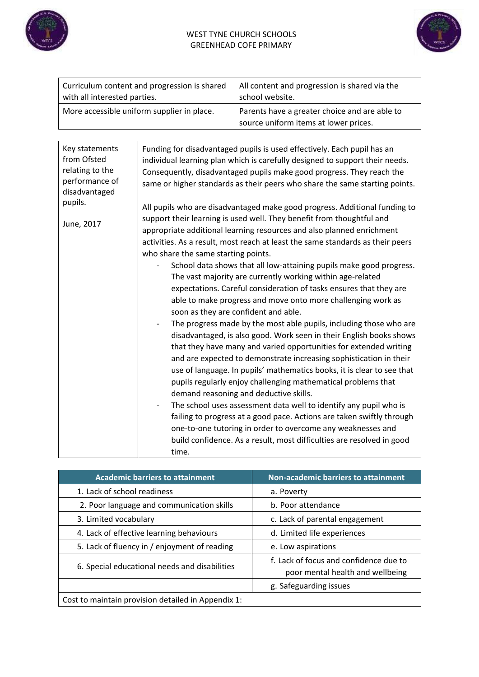



| Curriculum content and progression is shared | All content and progression is shared via the                                          |  |  |
|----------------------------------------------|----------------------------------------------------------------------------------------|--|--|
| with all interested parties.                 | school website.                                                                        |  |  |
| More accessible uniform supplier in place.   | Parents have a greater choice and are able to<br>source uniform items at lower prices. |  |  |

| Key statements<br>from Ofsted<br>relating to the<br>performance of<br>disadvantaged<br>pupils. | Funding for disadvantaged pupils is used effectively. Each pupil has an<br>individual learning plan which is carefully designed to support their needs.<br>Consequently, disadvantaged pupils make good progress. They reach the<br>same or higher standards as their peers who share the same starting points.                                                                                                                                                                                                                                                                                                                                                                                                                                                                                                                                                                                                                                                                                                                                                                                                                                                                                                                                                                      |
|------------------------------------------------------------------------------------------------|--------------------------------------------------------------------------------------------------------------------------------------------------------------------------------------------------------------------------------------------------------------------------------------------------------------------------------------------------------------------------------------------------------------------------------------------------------------------------------------------------------------------------------------------------------------------------------------------------------------------------------------------------------------------------------------------------------------------------------------------------------------------------------------------------------------------------------------------------------------------------------------------------------------------------------------------------------------------------------------------------------------------------------------------------------------------------------------------------------------------------------------------------------------------------------------------------------------------------------------------------------------------------------------|
|                                                                                                | All pupils who are disadvantaged make good progress. Additional funding to                                                                                                                                                                                                                                                                                                                                                                                                                                                                                                                                                                                                                                                                                                                                                                                                                                                                                                                                                                                                                                                                                                                                                                                                           |
| June, 2017                                                                                     | support their learning is used well. They benefit from thoughtful and<br>appropriate additional learning resources and also planned enrichment<br>activities. As a result, most reach at least the same standards as their peers<br>who share the same starting points.<br>School data shows that all low-attaining pupils make good progress.<br>The vast majority are currently working within age-related<br>expectations. Careful consideration of tasks ensures that they are<br>able to make progress and move onto more challenging work as<br>soon as they are confident and able.<br>The progress made by the most able pupils, including those who are<br>disadvantaged, is also good. Work seen in their English books shows<br>that they have many and varied opportunities for extended writing<br>and are expected to demonstrate increasing sophistication in their<br>use of language. In pupils' mathematics books, it is clear to see that<br>pupils regularly enjoy challenging mathematical problems that<br>demand reasoning and deductive skills.<br>The school uses assessment data well to identify any pupil who is<br>failing to progress at a good pace. Actions are taken swiftly through<br>one-to-one tutoring in order to overcome any weaknesses and |
|                                                                                                | build confidence. As a result, most difficulties are resolved in good<br>time.                                                                                                                                                                                                                                                                                                                                                                                                                                                                                                                                                                                                                                                                                                                                                                                                                                                                                                                                                                                                                                                                                                                                                                                                       |

| <b>Academic barriers to attainment</b>             | <b>Non-academic barriers to attainment</b>                                 |  |
|----------------------------------------------------|----------------------------------------------------------------------------|--|
| 1. Lack of school readiness                        | a. Poverty                                                                 |  |
| 2. Poor language and communication skills          | b. Poor attendance                                                         |  |
| 3. Limited vocabulary                              | c. Lack of parental engagement                                             |  |
| 4. Lack of effective learning behaviours           | d. Limited life experiences                                                |  |
| 5. Lack of fluency in / enjoyment of reading       | e. Low aspirations                                                         |  |
| 6. Special educational needs and disabilities      | f. Lack of focus and confidence due to<br>poor mental health and wellbeing |  |
|                                                    | g. Safeguarding issues                                                     |  |
| Cost to maintain provision detailed in Appendix 1: |                                                                            |  |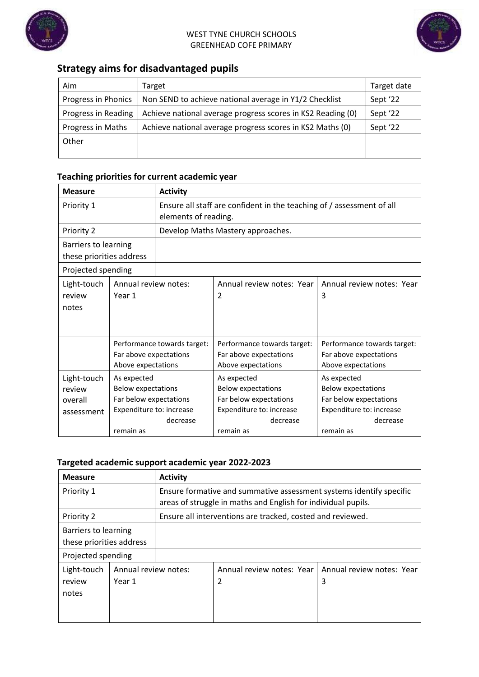



# **Strategy aims for disadvantaged pupils**

| Aim                 | Target                                                      | Target date |
|---------------------|-------------------------------------------------------------|-------------|
| Progress in Phonics | Non SEND to achieve national average in Y1/2 Checklist      | Sept '22    |
| Progress in Reading | Achieve national average progress scores in KS2 Reading (0) | Sept '22    |
| Progress in Maths   | Achieve national average progress scores in KS2 Maths (0)   | Sept '22    |
| Other               |                                                             |             |
|                     |                                                             |             |

# **Teaching priorities for current academic year**

| <b>Measure</b>           |                             | <b>Activity</b>                                                       |                                   |                             |  |
|--------------------------|-----------------------------|-----------------------------------------------------------------------|-----------------------------------|-----------------------------|--|
| Priority 1               |                             | Ensure all staff are confident in the teaching of / assessment of all |                                   |                             |  |
|                          |                             | elements of reading.                                                  |                                   |                             |  |
| Priority 2               |                             |                                                                       | Develop Maths Mastery approaches. |                             |  |
| Barriers to learning     |                             |                                                                       |                                   |                             |  |
| these priorities address |                             |                                                                       |                                   |                             |  |
| Projected spending       |                             |                                                                       |                                   |                             |  |
| Light-touch              | Annual review notes:        |                                                                       | Annual review notes: Year         | Annual review notes: Year   |  |
| review                   | Year 1                      |                                                                       | $\mathfrak{p}$                    | 3                           |  |
| notes                    |                             |                                                                       |                                   |                             |  |
|                          |                             |                                                                       |                                   |                             |  |
|                          |                             |                                                                       |                                   |                             |  |
|                          | Performance towards target: |                                                                       | Performance towards target:       | Performance towards target: |  |
|                          | Far above expectations      |                                                                       | Far above expectations            | Far above expectations      |  |
|                          | Above expectations          |                                                                       | Above expectations                | Above expectations          |  |
| Light-touch              | As expected                 |                                                                       | As expected                       | As expected                 |  |
| review                   | <b>Below expectations</b>   |                                                                       | <b>Below expectations</b>         | <b>Below expectations</b>   |  |
| overall                  | Far below expectations      |                                                                       | Far below expectations            | Far below expectations      |  |
| assessment               | Expenditure to: increase    |                                                                       | Expenditure to: increase          | Expenditure to: increase    |  |
|                          |                             | decrease                                                              | decrease                          | decrease                    |  |
|                          | remain as                   |                                                                       | remain as                         | remain as                   |  |

#### **Targeted academic support academic year 2022-2023**

| <b>Measure</b>                                   |                                | <b>Activity</b>                                                                                                                      |                                                            |                                |  |
|--------------------------------------------------|--------------------------------|--------------------------------------------------------------------------------------------------------------------------------------|------------------------------------------------------------|--------------------------------|--|
| Priority 1                                       |                                | Ensure formative and summative assessment systems identify specific<br>areas of struggle in maths and English for individual pupils. |                                                            |                                |  |
| Priority 2                                       |                                |                                                                                                                                      | Ensure all interventions are tracked, costed and reviewed. |                                |  |
| Barriers to learning<br>these priorities address |                                |                                                                                                                                      |                                                            |                                |  |
| Projected spending                               |                                |                                                                                                                                      |                                                            |                                |  |
| Light-touch<br>review<br>notes                   | Annual review notes:<br>Year 1 |                                                                                                                                      | Annual review notes: Year<br>2                             | Annual review notes: Year<br>3 |  |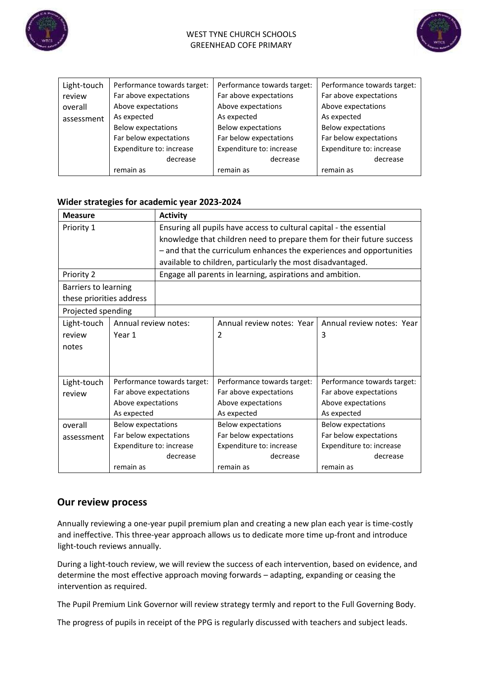



| Light-touch | Performance towards target: | Performance towards target: | Performance towards target: |  |
|-------------|-----------------------------|-----------------------------|-----------------------------|--|
| review      | Far above expectations      | Far above expectations      | Far above expectations      |  |
| overall     | Above expectations          | Above expectations          | Above expectations          |  |
| assessment  | As expected                 | As expected                 | As expected                 |  |
|             | <b>Below expectations</b>   | <b>Below expectations</b>   | <b>Below expectations</b>   |  |
|             | Far below expectations      | Far below expectations      | Far below expectations      |  |
|             | Expenditure to: increase    | Expenditure to: increase    | Expenditure to: increase    |  |
|             | decrease                    | decrease                    | decrease                    |  |
|             | remain as                   | remain as                   | remain as                   |  |

#### **Wider strategies for academic year 2023-2024**

| <b>Measure</b>           |                           | <b>Activity</b>             |                                                                       |                             |  |
|--------------------------|---------------------------|-----------------------------|-----------------------------------------------------------------------|-----------------------------|--|
| Priority 1               |                           |                             | Ensuring all pupils have access to cultural capital - the essential   |                             |  |
|                          |                           |                             | knowledge that children need to prepare them for their future success |                             |  |
|                          |                           |                             | - and that the curriculum enhances the experiences and opportunities  |                             |  |
|                          |                           |                             | available to children, particularly the most disadvantaged.           |                             |  |
| Priority 2               |                           |                             | Engage all parents in learning, aspirations and ambition.             |                             |  |
| Barriers to learning     |                           |                             |                                                                       |                             |  |
| these priorities address |                           |                             |                                                                       |                             |  |
| Projected spending       |                           |                             |                                                                       |                             |  |
| Light-touch              | Annual review notes:      |                             | Annual review notes: Year                                             | Annual review notes: Year   |  |
| review                   | Year 1                    |                             | 2                                                                     | 3                           |  |
| notes                    |                           |                             |                                                                       |                             |  |
|                          |                           |                             |                                                                       |                             |  |
|                          |                           |                             |                                                                       |                             |  |
| Light-touch              |                           | Performance towards target: | Performance towards target:                                           | Performance towards target: |  |
| review                   | Far above expectations    |                             | Far above expectations                                                | Far above expectations      |  |
|                          | Above expectations        |                             | Above expectations                                                    | Above expectations          |  |
|                          | As expected               |                             | As expected                                                           | As expected                 |  |
| overall                  | <b>Below expectations</b> |                             | <b>Below expectations</b>                                             | <b>Below expectations</b>   |  |
| assessment               | Far below expectations    |                             | Far below expectations                                                | Far below expectations      |  |
|                          | Expenditure to: increase  |                             | Expenditure to: increase                                              | Expenditure to: increase    |  |
|                          |                           | decrease                    | decrease                                                              | decrease                    |  |
|                          | remain as                 |                             | remain as                                                             | remain as                   |  |

## **Our review process**

Annually reviewing a one-year pupil premium plan and creating a new plan each year is time-costly and ineffective. This three-year approach allows us to dedicate more time up-front and introduce light-touch reviews annually.

During a light-touch review, we will review the success of each intervention, based on evidence, and determine the most effective approach moving forwards – adapting, expanding or ceasing the intervention as required.

The Pupil Premium Link Governor will review strategy termly and report to the Full Governing Body.

The progress of pupils in receipt of the PPG is regularly discussed with teachers and subject leads.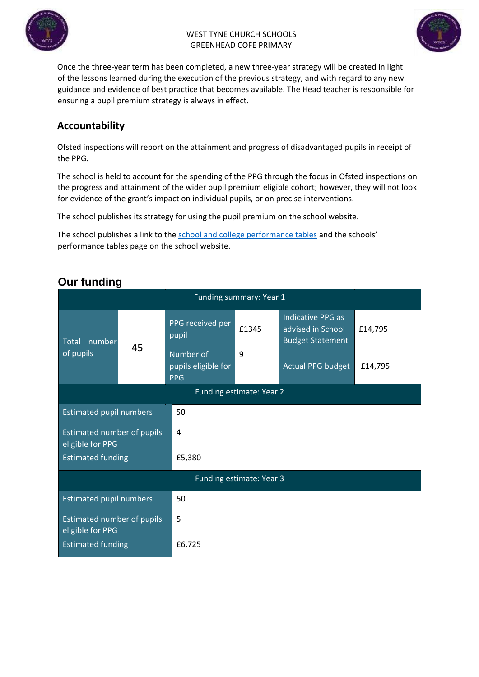



Once the three-year term has been completed, a new three-year strategy will be created in light of the lessons learned during the execution of the previous strategy, and with regard to any new guidance and evidence of best practice that becomes available. The Head teacher is responsible for ensuring a pupil premium strategy is always in effect.

# **Accountability**

Ofsted inspections will report on the attainment and progress of disadvantaged pupils in receipt of the PPG.

The school is held to account for the spending of the PPG through the focus in Ofsted inspections on the progress and attainment of the wider pupil premium eligible cohort; however, they will not look for evidence of the grant's impact on individual pupils, or on precise interventions.

The school publishes its strategy for using the pupil premium on the school website.

The school publishes a link to the [school and college performance tables](about:blank) [a](about:blank)nd the schools' performance tables page on the school website.

| Funding summary: Year 1                               |    |                                                |                          |                                                                   |         |  |
|-------------------------------------------------------|----|------------------------------------------------|--------------------------|-------------------------------------------------------------------|---------|--|
| number<br><b>Total</b><br>of pupils                   |    | PPG received per<br>pupil                      | £1345                    | Indicative PPG as<br>advised in School<br><b>Budget Statement</b> | £14,795 |  |
|                                                       | 45 | Number of<br>pupils eligible for<br><b>PPG</b> | 9                        | Actual PPG budget                                                 | £14,795 |  |
|                                                       |    |                                                | Funding estimate: Year 2 |                                                                   |         |  |
| <b>Estimated pupil numbers</b>                        |    | 50                                             |                          |                                                                   |         |  |
| Estimated number of pupils<br>eligible for PPG        |    | $\overline{4}$                                 |                          |                                                                   |         |  |
| <b>Estimated funding</b>                              |    | £5,380                                         |                          |                                                                   |         |  |
| Funding estimate: Year 3                              |    |                                                |                          |                                                                   |         |  |
| <b>Estimated pupil numbers</b>                        |    | 50                                             |                          |                                                                   |         |  |
| <b>Estimated number of pupils</b><br>eligible for PPG |    | 5                                              |                          |                                                                   |         |  |
| <b>Estimated funding</b>                              |    | £6,725                                         |                          |                                                                   |         |  |

# **Our funding**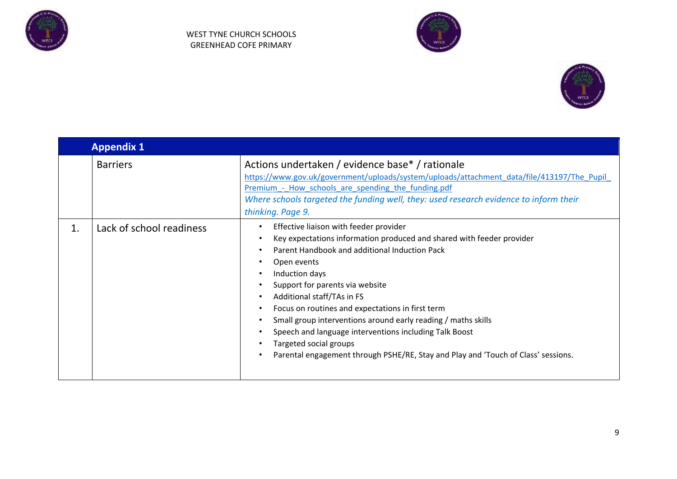





|    | <b>Appendix 1</b>        |                                                                                                                                                                                                                                                                                                                                                                                                                                                                                                                                                                  |  |  |  |
|----|--------------------------|------------------------------------------------------------------------------------------------------------------------------------------------------------------------------------------------------------------------------------------------------------------------------------------------------------------------------------------------------------------------------------------------------------------------------------------------------------------------------------------------------------------------------------------------------------------|--|--|--|
|    | <b>Barriers</b>          | Actions undertaken / evidence base* / rationale<br>https://www.gov.uk/government/uploads/system/uploads/attachment_data/file/413197/The_Pupil_<br>Premium - How schools are spending the funding.pdf<br>Where schools targeted the funding well, they: used research evidence to inform their<br>thinking. Page 9.                                                                                                                                                                                                                                               |  |  |  |
| 1. | Lack of school readiness | Effective liaison with feeder provider<br>Key expectations information produced and shared with feeder provider<br>Parent Handbook and additional Induction Pack<br>Open events<br>Induction days<br>Support for parents via website<br>Additional staff/TAs in FS<br>Focus on routines and expectations in first term<br>Small group interventions around early reading / maths skills<br>Speech and language interventions including Talk Boost<br>Targeted social groups<br>Parental engagement through PSHE/RE, Stay and Play and 'Touch of Class' sessions. |  |  |  |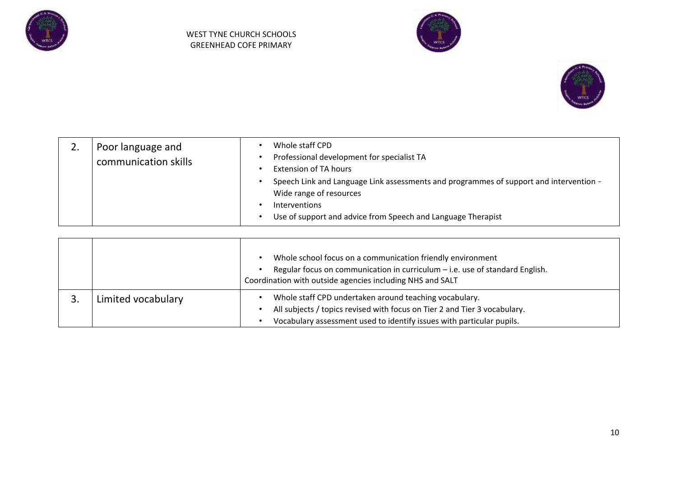





|  | Poor language and<br>communication skills | Whole staff CPD<br>Professional development for specialist TA<br>Extension of TA hours<br>Speech Link and Language Link assessments and programmes of support and intervention -<br>Wide range of resources<br>Interventions<br>Use of support and advice from Speech and Language Therapist |
|--|-------------------------------------------|----------------------------------------------------------------------------------------------------------------------------------------------------------------------------------------------------------------------------------------------------------------------------------------------|
|--|-------------------------------------------|----------------------------------------------------------------------------------------------------------------------------------------------------------------------------------------------------------------------------------------------------------------------------------------------|

|                    |  | Whole school focus on a communication friendly environment<br>Regular focus on communication in curriculum - i.e. use of standard English.<br>Coordination with outside agencies including NHS and SALT      |
|--------------------|--|--------------------------------------------------------------------------------------------------------------------------------------------------------------------------------------------------------------|
| Limited vocabulary |  | Whole staff CPD undertaken around teaching vocabulary.<br>All subjects / topics revised with focus on Tier 2 and Tier 3 vocabulary.<br>Vocabulary assessment used to identify issues with particular pupils. |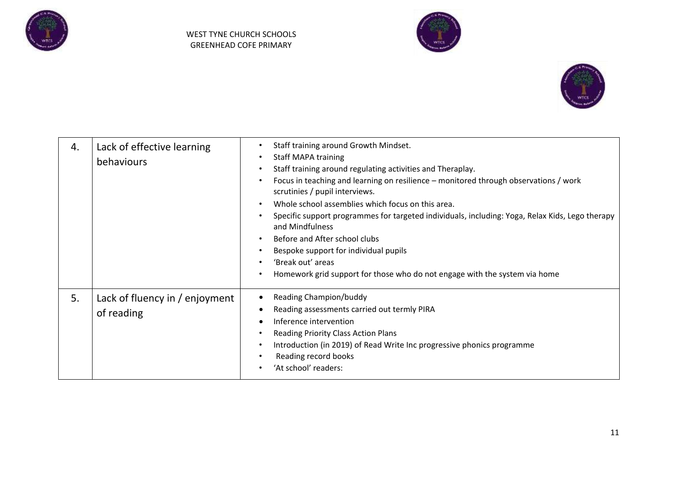





| 4. | Lack of effective learning<br>behaviours     | Staff training around Growth Mindset.<br>$\bullet$<br><b>Staff MAPA training</b><br>$\bullet$<br>Staff training around regulating activities and Theraplay.<br>$\bullet$<br>Focus in teaching and learning on resilience - monitored through observations / work<br>$\bullet$<br>scrutinies / pupil interviews.<br>Whole school assemblies which focus on this area.<br>$\bullet$<br>Specific support programmes for targeted individuals, including: Yoga, Relax Kids, Lego therapy<br>$\bullet$<br>and Mindfulness<br>Before and After school clubs<br>$\bullet$<br>Bespoke support for individual pupils<br>$\bullet$<br>'Break out' areas<br>$\bullet$<br>Homework grid support for those who do not engage with the system via home<br>$\bullet$ |
|----|----------------------------------------------|-------------------------------------------------------------------------------------------------------------------------------------------------------------------------------------------------------------------------------------------------------------------------------------------------------------------------------------------------------------------------------------------------------------------------------------------------------------------------------------------------------------------------------------------------------------------------------------------------------------------------------------------------------------------------------------------------------------------------------------------------------|
| 5. | Lack of fluency in / enjoyment<br>of reading | <b>Reading Champion/buddy</b><br>Reading assessments carried out termly PIRA<br>Inference intervention<br><b>Reading Priority Class Action Plans</b><br>$\bullet$<br>Introduction (in 2019) of Read Write Inc progressive phonics programme<br>$\bullet$<br>Reading record books<br>'At school' readers:                                                                                                                                                                                                                                                                                                                                                                                                                                              |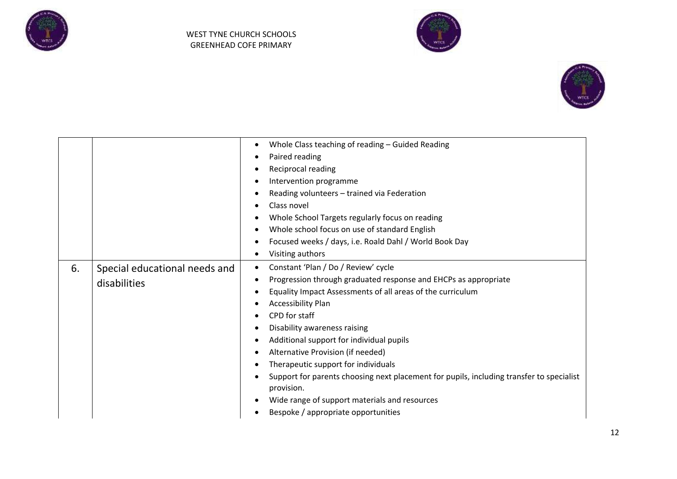





|           |                                               | Whole Class teaching of reading - Guided Reading<br>Paired reading<br>Reciprocal reading<br>$\bullet$<br>Intervention programme                                                                                                                                                                                                                                                                                                                                                                                                                                                                                                   |  |  |
|-----------|-----------------------------------------------|-----------------------------------------------------------------------------------------------------------------------------------------------------------------------------------------------------------------------------------------------------------------------------------------------------------------------------------------------------------------------------------------------------------------------------------------------------------------------------------------------------------------------------------------------------------------------------------------------------------------------------------|--|--|
| $\bullet$ |                                               | Reading volunteers - trained via Federation<br>Class novel<br>Whole School Targets regularly focus on reading<br>Whole school focus on use of standard English<br>Focused weeks / days, i.e. Roald Dahl / World Book Day<br>Visiting authors                                                                                                                                                                                                                                                                                                                                                                                      |  |  |
| 6.        | Special educational needs and<br>disabilities | Constant 'Plan / Do / Review' cycle<br>$\bullet$<br>Progression through graduated response and EHCPs as appropriate<br>$\bullet$<br>Equality Impact Assessments of all areas of the curriculum<br>$\epsilon$<br><b>Accessibility Plan</b><br>CPD for staff<br>Disability awareness raising<br>Additional support for individual pupils<br>$\bullet$<br>Alternative Provision (if needed)<br>Therapeutic support for individuals<br>Support for parents choosing next placement for pupils, including transfer to specialist<br>provision.<br>Wide range of support materials and resources<br>Bespoke / appropriate opportunities |  |  |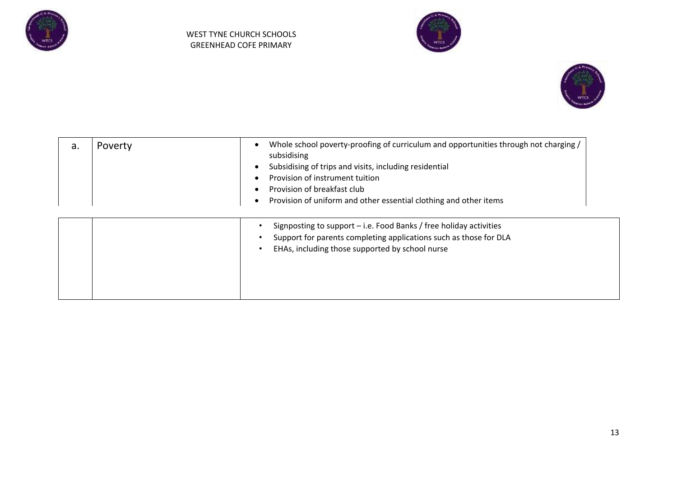





| a. | Poverty | Whole school poverty-proofing of curriculum and opportunities through not charging /<br>subsidising<br>Subsidising of trips and visits, including residential<br>Provision of instrument tuition<br>Provision of breakfast club<br>Provision of uniform and other essential clothing and other items |  |  |  |
|----|---------|------------------------------------------------------------------------------------------------------------------------------------------------------------------------------------------------------------------------------------------------------------------------------------------------------|--|--|--|
|    |         | Signposting to support - i.e. Food Banks / free holiday activities<br>Support for parents completing applications such as those for DLA<br>EHAs, including those supported by school nurse                                                                                                           |  |  |  |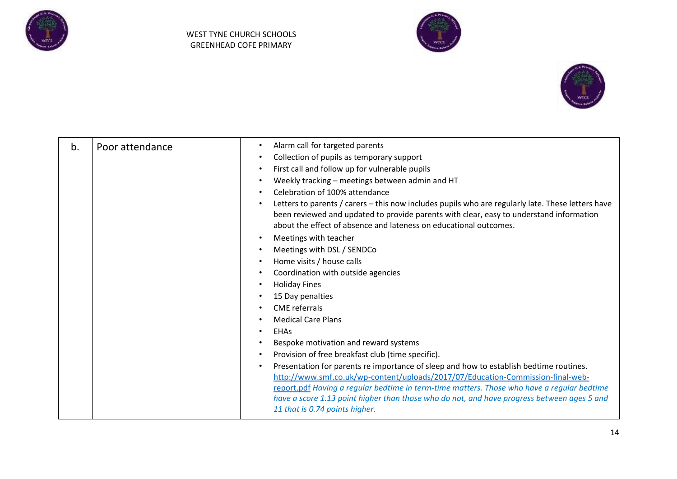





| b. | Poor attendance | Alarm call for targeted parents<br>Collection of pupils as temporary support<br>$\bullet$<br>First call and follow up for vulnerable pupils<br>Weekly tracking - meetings between admin and HT<br>Celebration of 100% attendance<br>Letters to parents / carers - this now includes pupils who are regularly late. These letters have<br>been reviewed and updated to provide parents with clear, easy to understand information<br>about the effect of absence and lateness on educational outcomes.<br>Meetings with teacher<br>Meetings with DSL / SENDCo<br>Home visits / house calls<br>Coordination with outside agencies<br><b>Holiday Fines</b><br>15 Day penalties<br><b>CME</b> referrals<br><b>Medical Care Plans</b><br><b>EHAs</b><br>Bespoke motivation and reward systems<br>Provision of free breakfast club (time specific).<br>Presentation for parents re importance of sleep and how to establish bedtime routines.<br>http://www.smf.co.uk/wp-content/uploads/2017/07/Education-Commission-final-web-<br>report.pdf Having a regular bedtime in term-time matters. Those who have a regular bedtime<br>have a score 1.13 point higher than those who do not, and have progress between ages 5 and<br>11 that is 0.74 points higher. |
|----|-----------------|----------------------------------------------------------------------------------------------------------------------------------------------------------------------------------------------------------------------------------------------------------------------------------------------------------------------------------------------------------------------------------------------------------------------------------------------------------------------------------------------------------------------------------------------------------------------------------------------------------------------------------------------------------------------------------------------------------------------------------------------------------------------------------------------------------------------------------------------------------------------------------------------------------------------------------------------------------------------------------------------------------------------------------------------------------------------------------------------------------------------------------------------------------------------------------------------------------------------------------------------------------|
|----|-----------------|----------------------------------------------------------------------------------------------------------------------------------------------------------------------------------------------------------------------------------------------------------------------------------------------------------------------------------------------------------------------------------------------------------------------------------------------------------------------------------------------------------------------------------------------------------------------------------------------------------------------------------------------------------------------------------------------------------------------------------------------------------------------------------------------------------------------------------------------------------------------------------------------------------------------------------------------------------------------------------------------------------------------------------------------------------------------------------------------------------------------------------------------------------------------------------------------------------------------------------------------------------|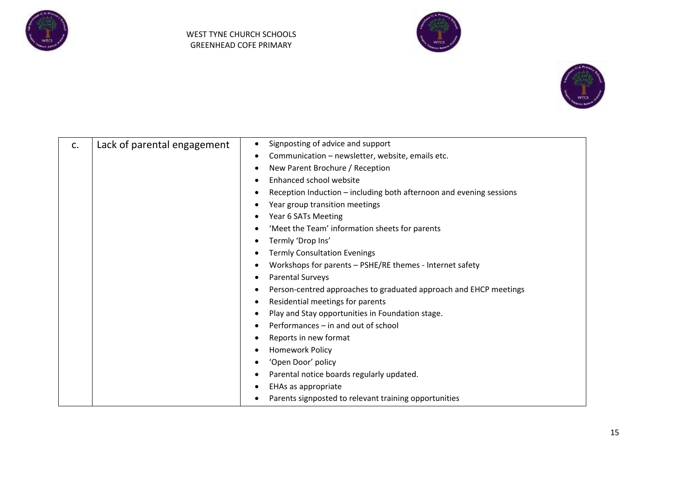





| c. | Lack of parental engagement | Signposting of advice and support                                   |  |  |
|----|-----------------------------|---------------------------------------------------------------------|--|--|
|    |                             | Communication - newsletter, website, emails etc.                    |  |  |
|    |                             | New Parent Brochure / Reception                                     |  |  |
|    |                             | Enhanced school website                                             |  |  |
|    |                             | Reception Induction - including both afternoon and evening sessions |  |  |
|    |                             | Year group transition meetings                                      |  |  |
|    |                             | Year 6 SATs Meeting                                                 |  |  |
|    |                             | 'Meet the Team' information sheets for parents                      |  |  |
|    |                             | Termly 'Drop Ins'                                                   |  |  |
|    |                             | <b>Termly Consultation Evenings</b>                                 |  |  |
|    |                             | Workshops for parents - PSHE/RE themes - Internet safety            |  |  |
|    |                             | <b>Parental Surveys</b>                                             |  |  |
|    |                             | Person-centred approaches to graduated approach and EHCP meetings   |  |  |
|    |                             | Residential meetings for parents                                    |  |  |
|    |                             | Play and Stay opportunities in Foundation stage.                    |  |  |
|    |                             | Performances – in and out of school                                 |  |  |
|    |                             | Reports in new format                                               |  |  |
|    |                             | <b>Homework Policy</b>                                              |  |  |
|    |                             | 'Open Door' policy                                                  |  |  |
|    |                             | Parental notice boards regularly updated.                           |  |  |
|    |                             | EHAs as appropriate                                                 |  |  |
|    |                             | Parents signposted to relevant training opportunities               |  |  |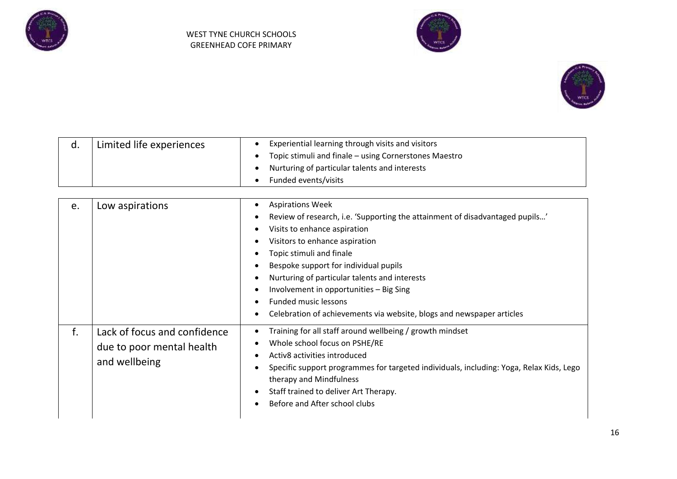





|  | Limited life experiences | Experiential learning through visits and visitors     |
|--|--------------------------|-------------------------------------------------------|
|  |                          | Topic stimuli and finale – using Cornerstones Maestro |
|  |                          | Nurturing of particular talents and interests         |
|  |                          | Funded events/visits                                  |

| e. | Low aspirations                                                            | <b>Aspirations Week</b><br>Review of research, i.e. 'Supporting the attainment of disadvantaged pupils'<br>Visits to enhance aspiration<br>Visitors to enhance aspiration<br>Topic stimuli and finale<br>Bespoke support for individual pupils<br>Nurturing of particular talents and interests<br>Involvement in opportunities - Big Sing<br><b>Funded music lessons</b><br>Celebration of achievements via website, blogs and newspaper articles |
|----|----------------------------------------------------------------------------|----------------------------------------------------------------------------------------------------------------------------------------------------------------------------------------------------------------------------------------------------------------------------------------------------------------------------------------------------------------------------------------------------------------------------------------------------|
| f. | Lack of focus and confidence<br>due to poor mental health<br>and wellbeing | Training for all staff around wellbeing / growth mindset<br>Whole school focus on PSHE/RE<br>Activ8 activities introduced<br>Specific support programmes for targeted individuals, including: Yoga, Relax Kids, Lego<br>therapy and Mindfulness<br>Staff trained to deliver Art Therapy.<br>Before and After school clubs                                                                                                                          |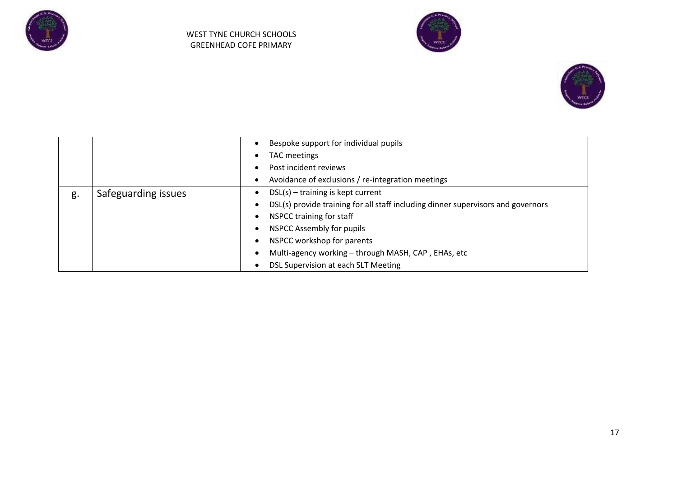





|    |                     | Bespoke support for individual pupils<br>TAC meetings<br>Post incident reviews<br>Avoidance of exclusions / re-integration meetings                                                                                                                                                                                 |
|----|---------------------|---------------------------------------------------------------------------------------------------------------------------------------------------------------------------------------------------------------------------------------------------------------------------------------------------------------------|
| g. | Safeguarding issues | $DSL(s) - training$ is kept current<br>DSL(s) provide training for all staff including dinner supervisors and governors<br>NSPCC training for staff<br><b>NSPCC Assembly for pupils</b><br>NSPCC workshop for parents<br>Multi-agency working - through MASH, CAP, EHAs, etc<br>DSL Supervision at each SLT Meeting |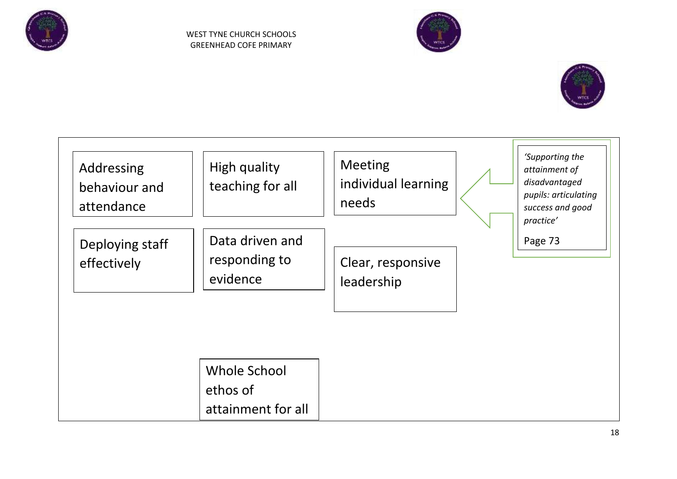





| Addressing<br>behaviour and<br>attendance | High quality<br>teaching for all               | <b>Meeting</b><br>individual learning<br>needs | 'Supporting the<br>attainment of<br>disadvantaged<br>pupils: articulating<br>success and good<br>practice' |
|-------------------------------------------|------------------------------------------------|------------------------------------------------|------------------------------------------------------------------------------------------------------------|
| Deploying staff<br>effectively            | Data driven and<br>responding to<br>evidence   | Clear, responsive<br>leadership                | Page 73                                                                                                    |
|                                           | Whole School<br>ethos of<br>attainment for all |                                                |                                                                                                            |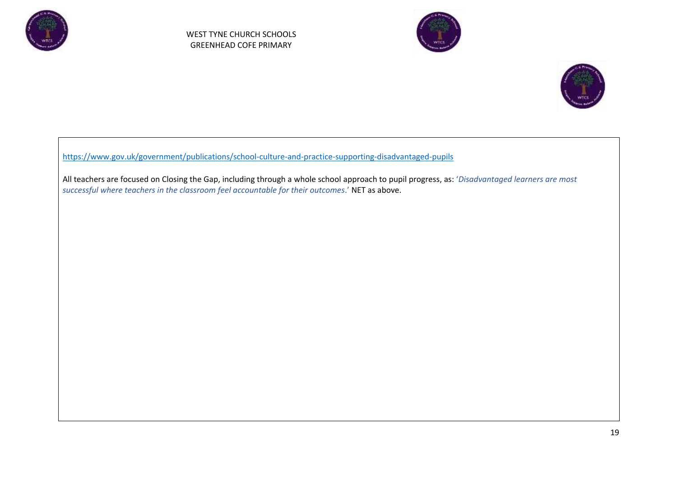





[https://www.gov.uk/government/publications/school-culture-and-practice-supporting-disadvantaged-pupils](about:blank)

All teachers are focused on Closing the Gap, including through a whole school approach to pupil progress, as: '*Disadvantaged learners are most successful where teachers in the classroom feel accountable for their outcomes*.' NET as above.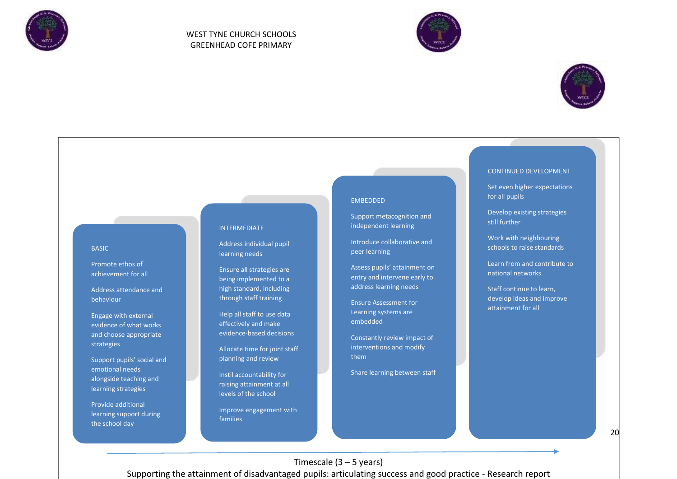





# CONTINUED DEVELOPMENT

Set even higher expectations for all pupils

Develop existing strategies still further

Work with neighbouring schools to raise standards

Learn from and contribute to national networks

Staff continue to learn, develop ideas and improve attainment for all

#### BASIC

Promote ethos of achievement for all

Address attendance and behaviour

Engage with external evidence of what works and choose appropriate strategies

Support pupils' social and emotional needs alongside teaching and learning strategies

Provide additional learning support during the school day

#### INTERMEDIATE

Address individual pupil learning needs

Ensure all strategies are being implemented to a high standard, including through staff training

Help all staff to use data effectively and make evidence-based decisions

Allocate time for joint staff planning and review

Instil accountability for raising attainment at all levels of the school

Improve engagement with families

#### **EMBEDDED**

Support metacognition and independent learning

Introduce collaborative and peer learning

Assess pupils' attainment on entry and intervene early to address learning needs

Ensure Assessment for Learning systems are embedded

Constantly review impact of interventions and modify them

Share learning between staff

Timescale  $(3 - 5$  years)

Supporting the attainment of disadvantaged pupils: articulating success and good practice - Research report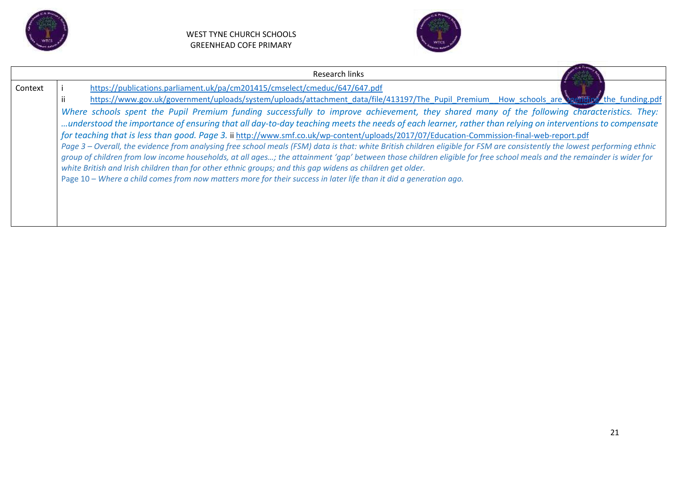



|         | Research links                                                                                                                                                                                                                                                                                                                                                                                                                                                                                                                                                                                                                                                                                                                                                                                                                                                                                                                                                                                                                                                                                                                                                                                                                                                            |  |  |
|---------|---------------------------------------------------------------------------------------------------------------------------------------------------------------------------------------------------------------------------------------------------------------------------------------------------------------------------------------------------------------------------------------------------------------------------------------------------------------------------------------------------------------------------------------------------------------------------------------------------------------------------------------------------------------------------------------------------------------------------------------------------------------------------------------------------------------------------------------------------------------------------------------------------------------------------------------------------------------------------------------------------------------------------------------------------------------------------------------------------------------------------------------------------------------------------------------------------------------------------------------------------------------------------|--|--|
| Context | https://publications.parliament.uk/pa/cm201415/cmselect/cmeduc/647/647.pdf<br>https://www.gov.uk/government/uploads/system/uploads/attachment_data/file/413197/The_Pupil_Premium__How_schools_are\\$pending*_the_funding.pdf<br>Where schools spent the Pupil Premium funding successfully to improve achievement, they shared many of the following characteristics. They:<br>understood the importance of ensuring that all day-to-day teaching meets the needs of each learner, rather than relying on interventions to compensate<br>for teaching that is less than good. Page 3. ii http://www.smf.co.uk/wp-content/uploads/2017/07/Education-Commission-final-web-report.pdf<br>Page 3 – Overall, the evidence from analysing free school meals (FSM) data is that: white British children eligible for FSM are consistently the lowest performing ethnic<br>group of children from low income households, at all ages; the attainment 'gap' between those children eligible for free school meals and the remainder is wider for<br>white British and Irish children than for other ethnic groups; and this gap widens as children get older.<br>Page 10 - Where a child comes from now matters more for their success in later life than it did a generation ago. |  |  |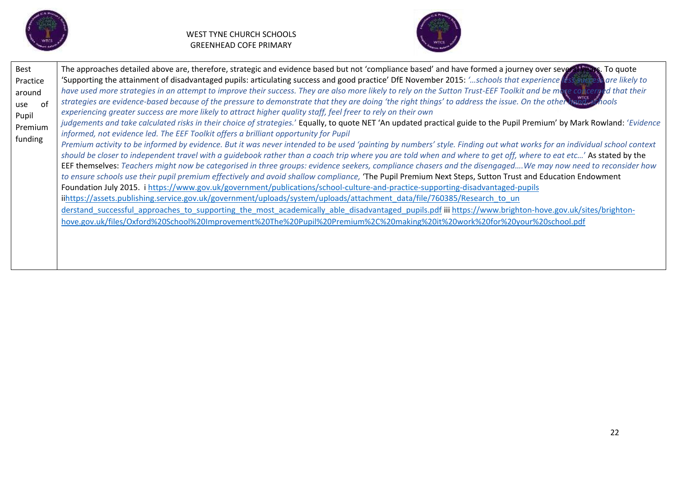



| Best<br>Practice<br>around<br>0f<br>use<br>Pupil<br>Premium<br>funding | The approaches detailed above are, therefore, strategic and evidence based but not 'compliance based' and have formed a journey over several years. To quote<br>'Supporting the attainment of disadvantaged pupils: articulating success and good practice' DfE November 2015: 'schools that experience less success are likely to<br>have used more strategies in an attempt to improve their success. They are also more likely to rely on the Sutton Trust-EEF Toolkit and be more concerned that their<br>strategies are evidence-based because of the pressure to demonstrate that they are doing 'the right things' to address the issue. On the other prind, schools<br>experiencing greater success are more likely to attract higher quality staff, feel freer to rely on their own<br>judgements and take calculated risks in their choice of strategies.' Equally, to quote NET 'An updated practical guide to the Pupil Premium' by Mark Rowland: 'Evidence<br>informed, not evidence led. The EEF Toolkit offers a brilliant opportunity for Pupil<br>Premium activity to be informed by evidence. But it was never intended to be used 'painting by numbers' style. Finding out what works for an individual school context<br>should be closer to independent travel with a guidebook rather than a coach trip where you are told when and where to get off, where to eat etc' As stated by the<br>EEF themselves: Teachers might now be categorised in three groups: evidence seekers, compliance chasers and the disengaged We may now need to reconsider how<br>to ensure schools use their pupil premium effectively and avoid shallow compliance, 'The Pupil Premium Next Steps, Sutton Trust and Education Endowment<br>Foundation July 2015. i https://www.gov.uk/government/publications/school-culture-and-practice-supporting-disadvantaged-pupils<br>iihttps://assets.publishing.service.gov.uk/government/uploads/system/uploads/attachment_data/file/760385/Research_to_un<br>derstand successful approaches to supporting the most academically able disadvantaged pupils.pdf iii https://www.brighton-hove.gov.uk/sites/brighton-<br>hove.gov.uk/files/Oxford%20School%20Improvement%20The%20Pupil%20Premium%2C%20making%20it%20work%20for%20your%20school.pdf |
|------------------------------------------------------------------------|----------------------------------------------------------------------------------------------------------------------------------------------------------------------------------------------------------------------------------------------------------------------------------------------------------------------------------------------------------------------------------------------------------------------------------------------------------------------------------------------------------------------------------------------------------------------------------------------------------------------------------------------------------------------------------------------------------------------------------------------------------------------------------------------------------------------------------------------------------------------------------------------------------------------------------------------------------------------------------------------------------------------------------------------------------------------------------------------------------------------------------------------------------------------------------------------------------------------------------------------------------------------------------------------------------------------------------------------------------------------------------------------------------------------------------------------------------------------------------------------------------------------------------------------------------------------------------------------------------------------------------------------------------------------------------------------------------------------------------------------------------------------------------------------------------------------------------------------------------------------------------------------------------------------------------------------------------------------------------------------------------------------------------------------------------------------------------------------------------------------------------------------------------------------------------------------------------------------------------------------------------------------------------------------|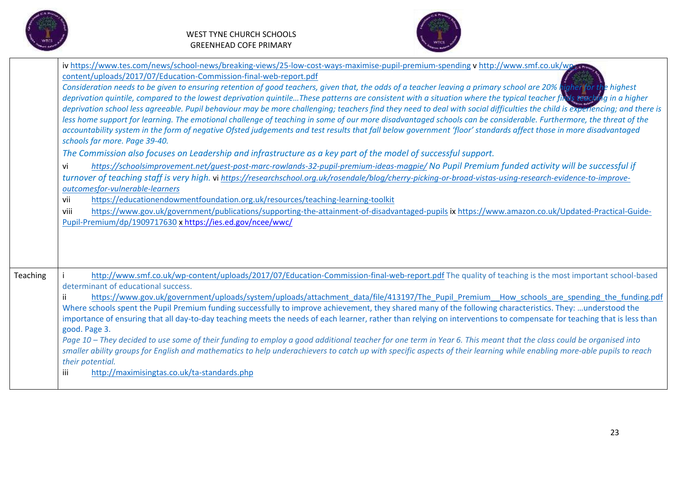



|                 | iv https://www.tes.com/news/school-news/breaking-views/25-low-cost-ways-maximise-pupil-premium-spending v http://www.smf.co.uk/wpe.co<br>content/uploads/2017/07/Education-Commission-final-web-report.pdf<br>Consideration needs to be given to ensuring retention of good teachers, given that, the odds of a teacher leaving a primary school are 20% higher for the highest<br>deprivation quintile, compared to the lowest deprivation quintileThese patterns are consistent with a situation where the typical teacher finds reaching in a higher<br>deprivation school less agreeable. Pupil behaviour may be more challenging; teachers find they need to deal with social difficulties the child is experiencing; and there is<br>less home support for learning. The emotional challenge of teaching in some of our more disadvantaged schools can be considerable. Furthermore, the threat of the<br>accountability system in the form of negative Ofsted judgements and test results that fall below government 'floor' standards affect those in more disadvantaged<br>schools far more. Page 39-40.<br>The Commission also focuses on Leadership and infrastructure as a key part of the model of successful support.<br>https://schoolsimprovement.net/guest-post-marc-rowlands-32-pupil-premium-ideas-magpie/No Pupil Premium funded activity will be successful if<br>vi<br>turnover of teaching staff is very high. vi https://researchschool.org.uk/rosendale/blog/cherry-picking-or-broad-vistas-using-research-evidence-to-improve-<br>outcomesfor-vulnerable-learners<br>https://educationendowmentfoundation.org.uk/resources/teaching-learning-toolkit<br>vii<br>viii<br>https://www.gov.uk/government/publications/supporting-the-attainment-of-disadvantaged-pupils ix https://www.amazon.co.uk/Updated-Practical-Guide-<br>Pupil-Premium/dp/1909717630 x https://ies.ed.gov/ncee/wwc/ |
|-----------------|------------------------------------------------------------------------------------------------------------------------------------------------------------------------------------------------------------------------------------------------------------------------------------------------------------------------------------------------------------------------------------------------------------------------------------------------------------------------------------------------------------------------------------------------------------------------------------------------------------------------------------------------------------------------------------------------------------------------------------------------------------------------------------------------------------------------------------------------------------------------------------------------------------------------------------------------------------------------------------------------------------------------------------------------------------------------------------------------------------------------------------------------------------------------------------------------------------------------------------------------------------------------------------------------------------------------------------------------------------------------------------------------------------------------------------------------------------------------------------------------------------------------------------------------------------------------------------------------------------------------------------------------------------------------------------------------------------------------------------------------------------------------------------------------------------------------------------------------------------------------------------------------------------------|
| <b>Teaching</b> | http://www.smf.co.uk/wp-content/uploads/2017/07/Education-Commission-final-web-report.pdf The quality of teaching is the most important school-based<br>determinant of educational success.<br>https://www.gov.uk/government/uploads/system/uploads/attachment data/file/413197/The Pupil Premium How schools are spending the funding.pdf<br>Where schools spent the Pupil Premium funding successfully to improve achievement, they shared many of the following characteristics. They: understood the<br>importance of ensuring that all day-to-day teaching meets the needs of each learner, rather than relying on interventions to compensate for teaching that is less than<br>good. Page 3.<br>Page 10 - They decided to use some of their funding to employ a good additional teacher for one term in Year 6. This meant that the class could be organised into<br>smaller ability groups for English and mathematics to help underachievers to catch up with specific aspects of their learning while enabling more-able pupils to reach<br>their potential.<br>iii<br>http://maximisingtas.co.uk/ta-standards.php                                                                                                                                                                                                                                                                                                                                                                                                                                                                                                                                                                                                                                                                                                                                                                                     |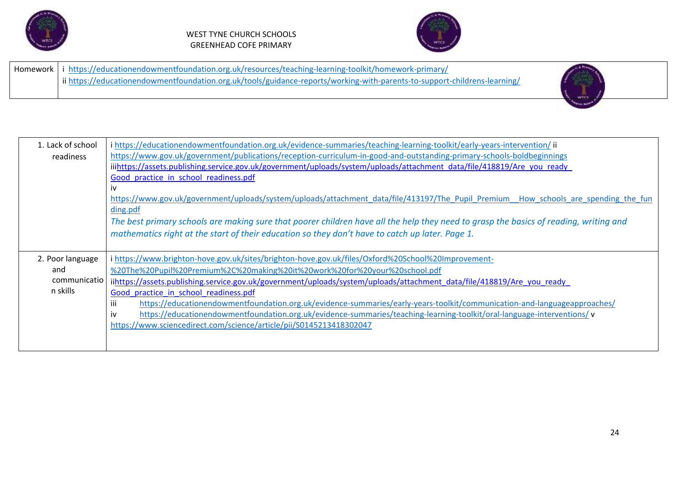



|  | Homework   i https://educationendowmentfoundation.org.uk/resources/teaching-learning-toolkit/homework-primary/            |
|--|---------------------------------------------------------------------------------------------------------------------------|
|  | ii https://educationendowmentfoundation.org.uk/tools/guidance-reports/working-with-parents-to-support-childrens-learning/ |
|  |                                                                                                                           |



| 1. Lack of school<br>readiness                      | i https://educationendowmentfoundation.org.uk/evidence-summaries/teaching-learning-toolkit/early-years-intervention/ii<br>https://www.gov.uk/government/publications/reception-curriculum-in-good-and-outstanding-primary-schools-boldbeginnings<br>iiihttps://assets.publishing.service.gov.uk/government/uploads/system/uploads/attachment_data/file/418819/Are_you_ready<br>Good practice in school readiness.pdf<br>İV<br>https://www.gov.uk/government/uploads/system/uploads/attachment data/file/413197/The Pupil Premium How schools are spending the fun<br>ding.pdf<br>The best primary schools are making sure that poorer children have all the help they need to grasp the basics of reading, writing and |
|-----------------------------------------------------|------------------------------------------------------------------------------------------------------------------------------------------------------------------------------------------------------------------------------------------------------------------------------------------------------------------------------------------------------------------------------------------------------------------------------------------------------------------------------------------------------------------------------------------------------------------------------------------------------------------------------------------------------------------------------------------------------------------------|
|                                                     | mathematics right at the start of their education so they don't have to catch up later. Page 1.                                                                                                                                                                                                                                                                                                                                                                                                                                                                                                                                                                                                                        |
| 2. Poor language<br>and<br>communicatio<br>n skills | i https://www.brighton-hove.gov.uk/sites/brighton-hove.gov.uk/files/Oxford%20School%20Improvement-<br>%20The%20Pupil%20Premium%2C%20making%20it%20work%20for%20your%20school.pdf<br>iihttps://assets.publishing.service.gov.uk/government/uploads/system/uploads/attachment_data/file/418819/Are_you_ready<br>Good practice in school readiness.pdf<br>https://educationendowmentfoundation.org.uk/evidence-summaries/early-years-toolkit/communication-and-languageapproaches/<br>Ш<br>https://educationendowmentfoundation.org.uk/evidence-summaries/teaching-learning-toolkit/oral-language-interventions/v<br>iv<br>https://www.sciencedirect.com/science/article/pii/S0145213418302047                            |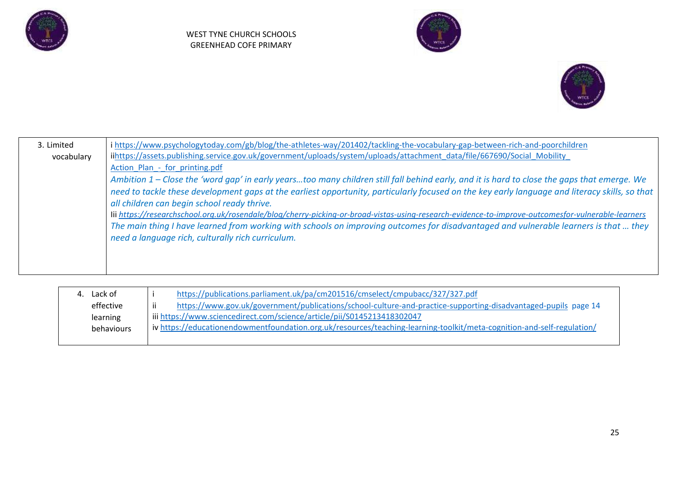





| 3. Limited | i https://www.psychologytoday.com/gb/blog/the-athletes-way/201402/tackling-the-vocabulary-gap-between-rich-and-poorchildren                        |
|------------|----------------------------------------------------------------------------------------------------------------------------------------------------|
| vocabulary | iihttps://assets.publishing.service.gov.uk/government/uploads/system/uploads/attachment_data/file/667690/Social_Mobility                           |
|            | Action Plan - for printing.pdf                                                                                                                     |
|            | Ambition 1 – Close the 'word gap' in early yearstoo many children still fall behind early, and it is hard to close the gaps that emerge. We        |
|            | need to tackle these development gaps at the earliest opportunity, particularly focused on the key early language and literacy skills, so that     |
|            | all children can begin school ready thrive.                                                                                                        |
|            | lii https://researchschool.org.uk/rosendale/blog/cherry-picking-or-broad-vistas-using-research-evidence-to-improve-outcomesfor-vulnerable-learners |
|            | The main thing I have learned from working with schools on improving outcomes for disadvantaged and vulnerable learners is that  they              |
|            | need a language rich, culturally rich curriculum.                                                                                                  |
|            |                                                                                                                                                    |
|            |                                                                                                                                                    |
|            |                                                                                                                                                    |

| Lack of    | https://publications.parliament.uk/pa/cm201516/cmselect/cmpubacc/327/327.pdf                                           |
|------------|------------------------------------------------------------------------------------------------------------------------|
| effective  | https://www.gov.uk/government/publications/school-culture-and-practice-supporting-disadvantaged-pupils page 14<br>ii.  |
| learning   | iii https://www.sciencedirect.com/science/article/pii/S0145213418302047                                                |
| behaviours | iv https://educationendowmentfoundation.org.uk/resources/teaching-learning-toolkit/meta-cognition-and-self-regulation/ |
|            |                                                                                                                        |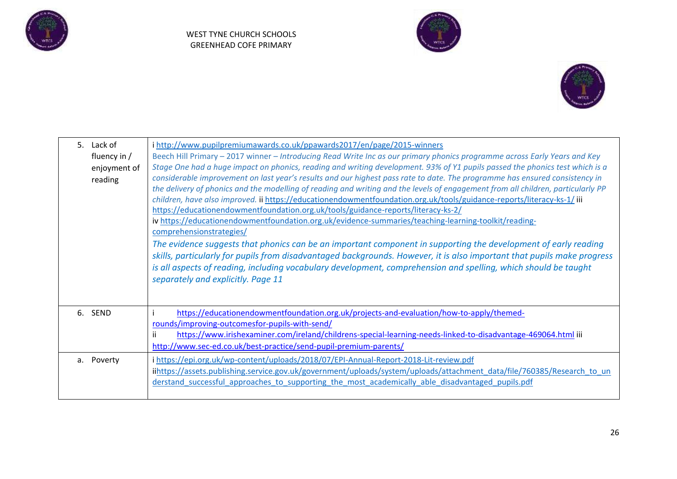





| 5. Lack of<br>fluency in $/$<br>enjoyment of<br>reading | i http://www.pupilpremiumawards.co.uk/ppawards2017/en/page/2015-winners<br>Beech Hill Primary - 2017 winner - Introducing Read Write Inc as our primary phonics programme across Early Years and Key<br>Stage One had a huge impact on phonics, reading and writing development. 93% of Y1 pupils passed the phonics test which is a<br>considerable improvement on last year's results and our highest pass rate to date. The programme has ensured consistency in<br>the delivery of phonics and the modelling of reading and writing and the levels of engagement from all children, particularly PP<br>children, have also improved. ii https://educationendowmentfoundation.org.uk/tools/guidance-reports/literacy-ks-1/ iii<br>https://educationendowmentfoundation.org.uk/tools/guidance-reports/literacy-ks-2/<br>iv https://educationendowmentfoundation.org.uk/evidence-summaries/teaching-learning-toolkit/reading-<br>comprehensionstrategies/<br>The evidence suggests that phonics can be an important component in supporting the development of early reading<br>skills, particularly for pupils from disadvantaged backgrounds. However, it is also important that pupils make progress |
|---------------------------------------------------------|----------------------------------------------------------------------------------------------------------------------------------------------------------------------------------------------------------------------------------------------------------------------------------------------------------------------------------------------------------------------------------------------------------------------------------------------------------------------------------------------------------------------------------------------------------------------------------------------------------------------------------------------------------------------------------------------------------------------------------------------------------------------------------------------------------------------------------------------------------------------------------------------------------------------------------------------------------------------------------------------------------------------------------------------------------------------------------------------------------------------------------------------------------------------------------------------------------|
| 6. SEND                                                 | is all aspects of reading, including vocabulary development, comprehension and spelling, which should be taught<br>separately and explicitly. Page 11<br>https://educationendowmentfoundation.org.uk/projects-and-evaluation/how-to-apply/themed-                                                                                                                                                                                                                                                                                                                                                                                                                                                                                                                                                                                                                                                                                                                                                                                                                                                                                                                                                        |
|                                                         | rounds/improving-outcomesfor-pupils-with-send/<br>ii.<br>https://www.irishexaminer.com/ireland/childrens-special-learning-needs-linked-to-disadvantage-469064.html iii<br>http://www.sec-ed.co.uk/best-practice/send-pupil-premium-parents/                                                                                                                                                                                                                                                                                                                                                                                                                                                                                                                                                                                                                                                                                                                                                                                                                                                                                                                                                              |
| a. Poverty                                              | i https://epi.org.uk/wp-content/uploads/2018/07/EPI-Annual-Report-2018-Lit-review.pdf<br>iihttps://assets.publishing.service.gov.uk/government/uploads/system/uploads/attachment_data/file/760385/Research_to_un<br>derstand successful approaches to supporting the most academically able disadvantaged pupils.pdf                                                                                                                                                                                                                                                                                                                                                                                                                                                                                                                                                                                                                                                                                                                                                                                                                                                                                     |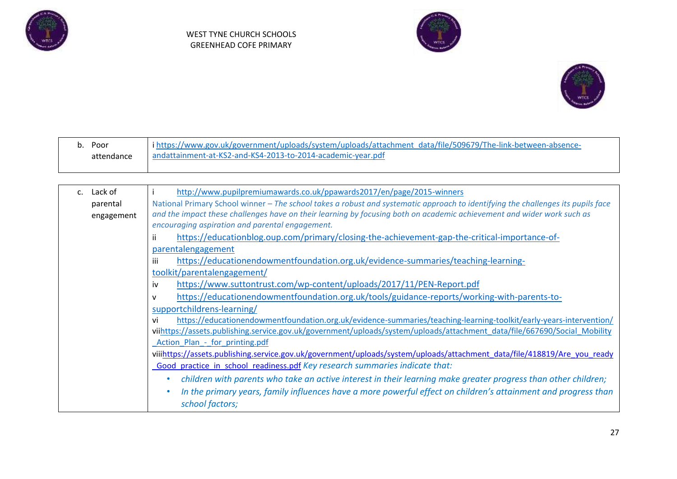





| Poor       | i https://www.gov.uk/government/uploads/system/uploads/attachment data/file/509679/The-link-between-absence- |
|------------|--------------------------------------------------------------------------------------------------------------|
| attendance | andattainment-at-KS2-and-KS4-2013-to-2014-academic-year.pdf                                                  |
|            |                                                                                                              |

| c. Lack of | http://www.pupilpremiumawards.co.uk/ppawards2017/en/page/2015-winners                                                             |
|------------|-----------------------------------------------------------------------------------------------------------------------------------|
| parental   | National Primary School winner – The school takes a robust and systematic approach to identifying the challenges its pupils face  |
| engagement | and the impact these challenges have on their learning by focusing both on academic achievement and wider work such as            |
|            | encouraging aspiration and parental engagement.                                                                                   |
|            | https://educationblog.oup.com/primary/closing-the-achievement-gap-the-critical-importance-of-<br>ii                               |
|            | parentalengagement                                                                                                                |
|            | https://educationendowmentfoundation.org.uk/evidence-summaries/teaching-learning-<br>iii                                          |
|            | toolkit/parentalengagement/                                                                                                       |
|            | https://www.suttontrust.com/wp-content/uploads/2017/11/PEN-Report.pdf<br>iv                                                       |
|            | https://educationendowmentfoundation.org.uk/tools/guidance-reports/working-with-parents-to-<br>v                                  |
|            | supportchildrens-learning/                                                                                                        |
|            | https://educationendowmentfoundation.org.uk/evidence-summaries/teaching-learning-toolkit/early-years-intervention/<br>vi          |
|            | viihttps://assets.publishing.service.gov.uk/government/uploads/system/uploads/attachment_data/file/667690/Social_Mobility         |
|            | Action Plan - for printing.pdf                                                                                                    |
|            | viiihttps://assets.publishing.service.gov.uk/government/uploads/system/uploads/attachment_data/file/418819/Are_you_ready          |
|            | Good practice in school readiness.pdf Key research summaries indicate that:                                                       |
|            | children with parents who take an active interest in their learning make greater progress than other children;                    |
|            | In the primary years, family influences have a more powerful effect on children's attainment and progress than<br>school factors; |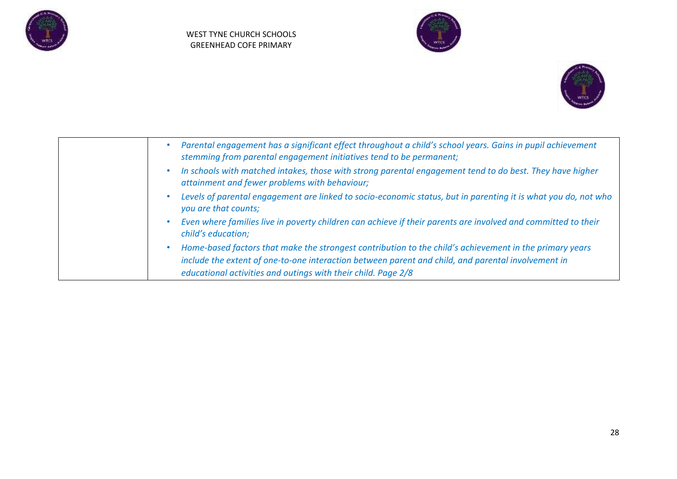





| Parental engagement has a significant effect throughout a child's school years. Gains in pupil achievement<br>stemming from parental engagement initiatives tend to be permanent;                             |
|---------------------------------------------------------------------------------------------------------------------------------------------------------------------------------------------------------------|
| In schools with matched intakes, those with strong parental engagement tend to do best. They have higher<br>attainment and fewer problems with behaviour;                                                     |
| Levels of parental engagement are linked to socio-economic status, but in parenting it is what you do, not who<br>۰<br>you are that counts;                                                                   |
| Even where families live in poverty children can achieve if their parents are involved and committed to their<br>child's education;                                                                           |
| Home-based factors that make the strongest contribution to the child's achievement in the primary years<br>include the extent of one-to-one interaction between parent and child, and parental involvement in |
| educational activities and outings with their child. Page 2/8                                                                                                                                                 |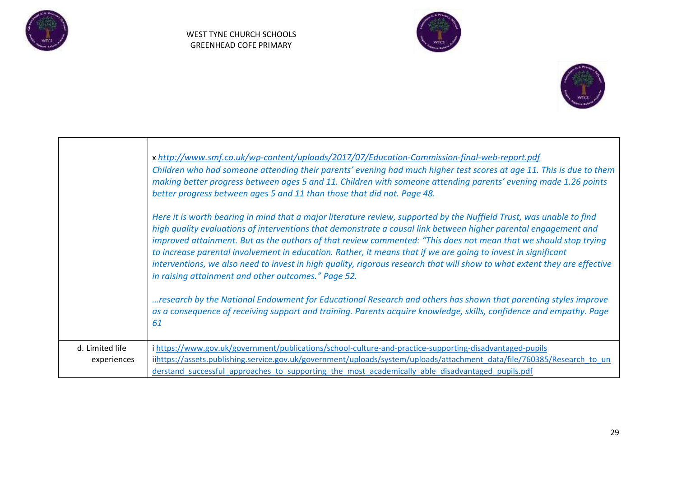





|                                | x http://www.smf.co.uk/wp-content/uploads/2017/07/Education-Commission-final-web-report.pdf<br>Children who had someone attending their parents' evening had much higher test scores at age 11. This is due to them<br>making better progress between ages 5 and 11. Children with someone attending parents' evening made 1.26 points<br>better progress between ages 5 and 11 than those that did not. Page 48.                                                                                                                                                                                                                                                |
|--------------------------------|------------------------------------------------------------------------------------------------------------------------------------------------------------------------------------------------------------------------------------------------------------------------------------------------------------------------------------------------------------------------------------------------------------------------------------------------------------------------------------------------------------------------------------------------------------------------------------------------------------------------------------------------------------------|
|                                | Here it is worth bearing in mind that a major literature review, supported by the Nuffield Trust, was unable to find<br>high quality evaluations of interventions that demonstrate a causal link between higher parental engagement and<br>improved attainment. But as the authors of that review commented: "This does not mean that we should stop trying<br>to increase parental involvement in education. Rather, it means that if we are going to invest in significant<br>interventions, we also need to invest in high quality, rigorous research that will show to what extent they are effective<br>in raising attainment and other outcomes." Page 52. |
|                                | research by the National Endowment for Educational Research and others has shown that parenting styles improve<br>as a consequence of receiving support and training. Parents acquire knowledge, skills, confidence and empathy. Page<br>61                                                                                                                                                                                                                                                                                                                                                                                                                      |
| d. Limited life<br>experiences | i https://www.gov.uk/government/publications/school-culture-and-practice-supporting-disadvantaged-pupils<br>iihttps://assets.publishing.service.gov.uk/government/uploads/system/uploads/attachment_data/file/760385/Research_to_un<br>derstand successful approaches to supporting the most academically able disadvantaged pupils.pdf                                                                                                                                                                                                                                                                                                                          |